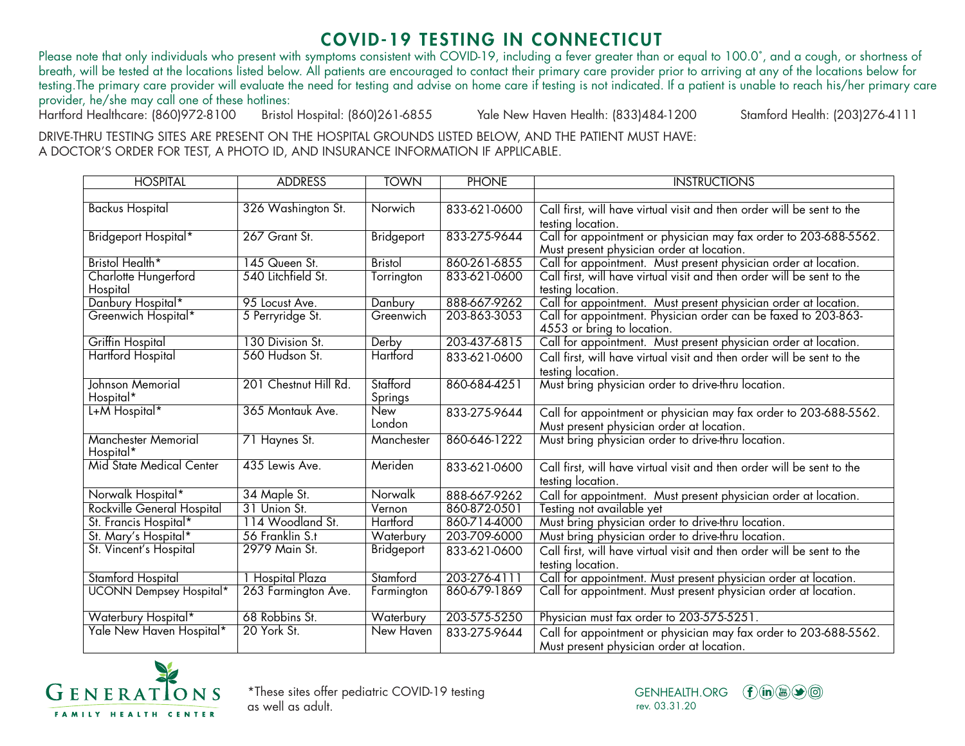## COVID-19 TESTING IN CONNECTICUT

Please note that only individuals who present with symptoms consistent with COVID-19, including a fever greater than or equal to 100.0°, and a cough, or shortness of breath, will be tested at the locations listed below. All patients are encouraged to contact their primary care provider prior to arriving at any of the locations below for testing.The primary care provider will evaluate the need for testing and advise on home care if testing is not indicated. If a patient is unable to reach his/her primary care provider, he/she may call one of these hotlines:<br>Hartford Healthcare: (860)972-8100 Bristol Hospital: (860)261-6855

Yale New Haven Health: (833)484-1200 Stamford Health: (203)276-4111

DRIVE-THRU TESTING SITES ARE PRESENT ON THE HOSPITAL GROUNDS LISTED BELOW, AND THE PATIENT MUST HAVE: A DOCTOR'S ORDER FOR TEST, A PHOTO ID, AND INSURANCE INFORMATION IF APPLICABLE.

| <b>HOSPITAL</b>                         | <b>ADDRESS</b>                   | <b>TOWN</b>        | <b>PHONE</b>                 | <b>INSTRUCTIONS</b>                                                                         |
|-----------------------------------------|----------------------------------|--------------------|------------------------------|---------------------------------------------------------------------------------------------|
|                                         |                                  |                    |                              |                                                                                             |
| <b>Backus Hospital</b>                  | 326 Washington St.               | Norwich            | 833-621-0600                 | Call first, will have virtual visit and then order will be sent to the                      |
|                                         |                                  |                    |                              | testing location.                                                                           |
| Bridgeport Hospital*                    | 267 Grant St.                    | Bridgeport         | 833-275-9644                 | Call for appointment or physician may fax order to 203-688-5562.                            |
|                                         |                                  |                    |                              | Must present physician order at location.                                                   |
| Bristol Health*                         | 145 Queen St.                    | <b>Bristol</b>     | 860-261-6855                 | Call for appointment. Must present physician order at location.                             |
| Charlotte Hungerford<br>Hospital        | 540 Litchfield St.               | Torrington         | 833-621-0600                 | Call first, will have virtual visit and then order will be sent to the<br>testing location. |
| Danbury Hospital*                       | 95 Locust Ave.                   | Danbury            | 888-667-9262                 | Call for appointment. Must present physician order at location.                             |
| Greenwich Hospital*                     | 5 Perryridge St.                 | Greenwich          | 203-863-3053                 | Call for appointment. Physician order can be faxed to 203-863-                              |
|                                         |                                  |                    |                              | 4553 or bring to location.                                                                  |
| Griffin Hospital                        | 130 Division St.                 | Derby              | 203-437-6815                 | Call for appointment. Must present physician order at location.                             |
| <b>Hartford Hospital</b>                | 560 Hudson St.                   | Hartford           | 833-621-0600                 | Call first, will have virtual visit and then order will be sent to the                      |
|                                         |                                  |                    |                              | testing location.                                                                           |
| Johnson Memorial                        | 201 Chestnut Hill Rd.            | Stafford           | 860-684-4251                 | Must bring physician order to drive-thru location.                                          |
| Hospital*                               |                                  | Springs            |                              |                                                                                             |
| L+M Hospital*                           | 365 Montauk Ave.                 | New                | 833-275-9644                 | Call for appointment or physician may fax order to 203-688-5562.                            |
|                                         |                                  | London             |                              | Must present physician order at location.                                                   |
| <b>Manchester Memorial</b><br>Hospital* | 71 Haynes St.                    | Manchester         | 860-646-1222                 | Must bring physician order to drive-thru location.                                          |
| Mid State Medical Center                | 435 Lewis Ave.                   | Meriden            | 833-621-0600                 |                                                                                             |
|                                         |                                  |                    |                              | Call first, will have virtual visit and then order will be sent to the                      |
|                                         |                                  | Norwalk            |                              | testing location.                                                                           |
| Norwalk Hospital*                       | 34 Maple St.                     |                    | 888-667-9262                 | Call for appointment. Must present physician order at location.                             |
| <b>Rockville General Hospital</b>       | 31 Union St.<br>114 Woodland St. | Vernon<br>Hartford | 860-872-0501<br>860-714-4000 | Testing not available yet                                                                   |
| St. Francis Hospital*                   |                                  |                    |                              | Must bring physician order to drive-thru location.                                          |
| St. Mary's Hospital*                    | 56 Franklin S.t                  | Waterbury          | 203-709-6000                 | Must bring physician order to drive-thru location.                                          |
| St. Vincent's Hospital                  | 2979 Main St.                    | Bridgeport         | 833-621-0600                 | Call first, will have virtual visit and then order will be sent to the                      |
|                                         |                                  |                    |                              | testing location.                                                                           |
| <b>Stamford Hospital</b>                | 1 Hospital Plaza                 | Stamford           | 203-276-4111                 | Call for appointment. Must present physician order at location.                             |
| <b>UCONN Dempsey Hospital*</b>          | 263 Farmington Ave.              | Farmington         | 860-679-1869                 | Call for appointment. Must present physician order at location.                             |
| Waterbury Hospital*                     | 68 Robbins St.                   | Waterbury          | 203-575-5250                 | Physician must fax order to 203-575-5251.                                                   |
| Yale New Haven Hospital*                | 20 York St.                      | New Haven          | 833-275-9644                 | Call for appointment or physician may fax order to 203-688-5562.                            |
|                                         |                                  |                    |                              | Must present physician order at location.                                                   |